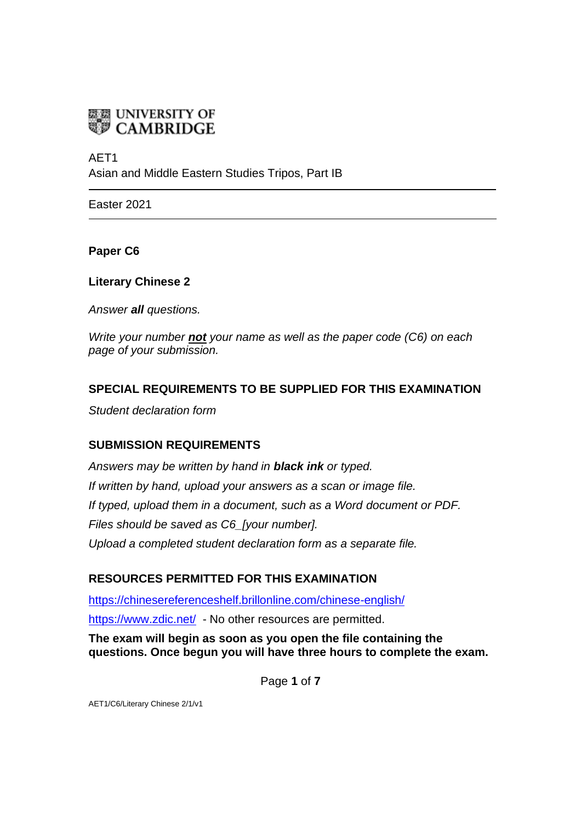

AFT<sub>1</sub>

Asian and Middle Eastern Studies Tripos, Part IB

Easter 2021

**Paper C6**

**Literary Chinese 2**

*Answer all questions.*

*Write your number not your name as well as the paper code (C6) on each page of your submission.*

## **SPECIAL REQUIREMENTS TO BE SUPPLIED FOR THIS EXAMINATION**

*Student declaration form*

## **SUBMISSION REQUIREMENTS**

*Answers may be written by hand in black ink or typed. If written by hand, upload your answers as a scan or image file. If typed, upload them in a document, such as a Word document or PDF. Files should be saved as C6\_[your number]. Upload a completed student declaration form as a separate file.*

## **RESOURCES PERMITTED FOR THIS EXAMINATION**

<https://chinesereferenceshelf.brillonline.com/chinese-english/> <https://www.zdic.net/> - No other resources are permitted.

**The exam will begin as soon as you open the file containing the questions. Once begun you will have three hours to complete the exam.**

Page **1** of **7**

AET1/C6/Literary Chinese 2/1/v1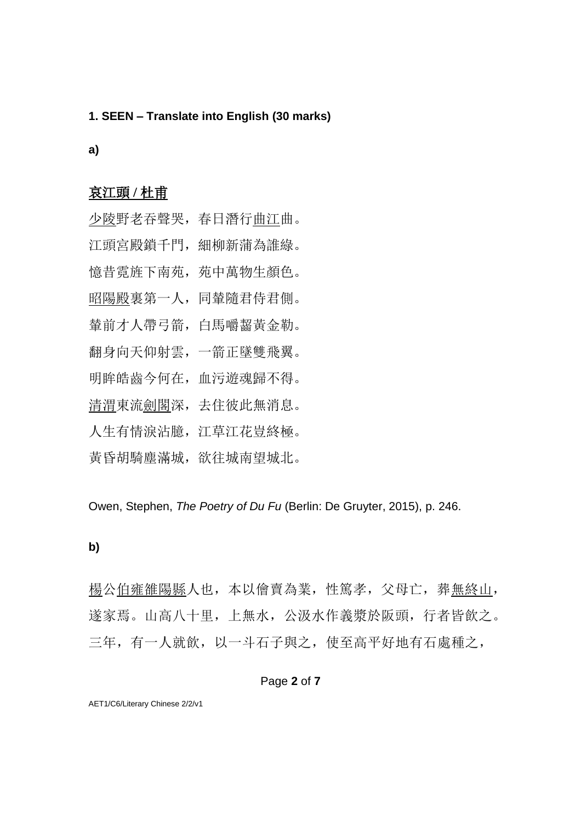#### **1. SEEN – Translate into English (30 marks)**

### **a)**

## 哀江頭 **/** 杜甫

少陵野老吞聲哭,春日潛行曲江曲。 江頭宮殿鎖千門,細柳新蒲為誰綠。 憶昔霓旌下南苑,苑中萬物生顏色。 昭陽殿裏第一人,同輦隨君侍君側。 輦前才人帶弓箭,白馬嚼齧黃金勒。 翻身向天仰射雲,一箭正墜雙飛翼。 明眸皓齒今何在,血污遊魂歸不得。 清渭東流劍閣深,去住彼此無消息。 人生有情淚沾臆,江草江花豈終極。 黃昏胡騎塵滿城,欲往城南望城北。

Owen, Stephen, *The Poetry of Du Fu* (Berlin: De Gruyter, 2015), p. 246.

### **b)**

楊公伯雍雒陽縣人也,本以儈賣為業,性篤孝,父母亡,葬無終山, 遂家焉。山高八十里,上無水,公汲水作義漿於阪頭,行者皆飲之。 三年,有一人就飲,以一斗石子與之,使至高平好地有石處種之,

### Page **2** of **7**

AET1/C6/Literary Chinese 2/2/v1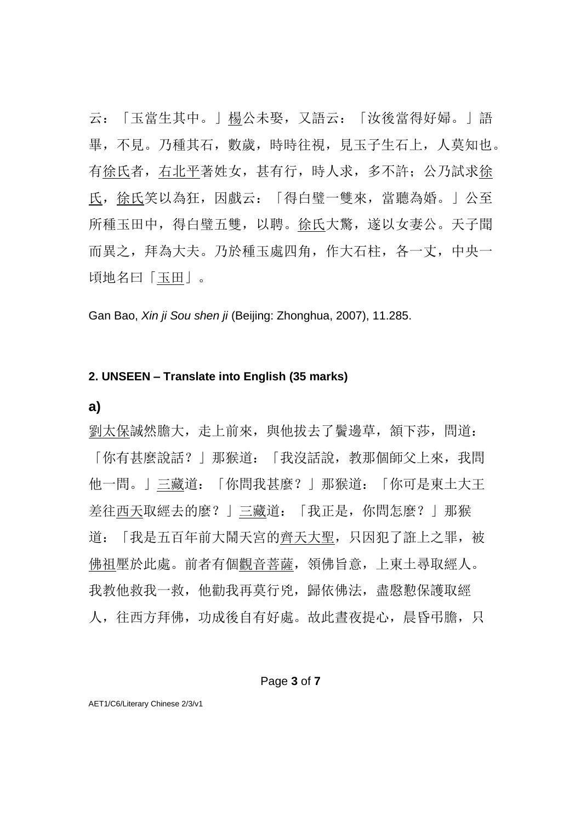云:「玉當生其中。」楊公未娶,又語云:「汝後當得好婦。」語 畢,不見。乃種其石,數歲,時時往視,見玉子生石上,人莫知也。 有徐氏者,右北平著姓女,甚有行,時人求,多不許;公乃試求徐 氏,徐氏笑以為狂,因戲云:「得白璧一雙來,當聽為婚。」公至 所種玉田中,得白璧五雙,以聘。徐氏大驚,遂以女妻公。天子聞 而異之,拜為大夫。乃於種玉處四角,作大石柱,各一丈,中央一 頃地名曰「玉田」。

Gan Bao, *Xin ji Sou shen ji* (Beijing: Zhonghua, 2007), 11.285.

#### **2. UNSEEN – Translate into English (35 marks)**

#### **a)**

劉太保誠然膽大,走上前來,與他拔去了鬢邊草,頷下莎,問道: 「你有甚麼說話?」那猴道:「我沒話說,教那個師父上來,我問 他一問。」三藏道:「你問我甚麼?」那猴道:「你可是東土大王 差往西天取經去的麼?」三藏道:「我正是,你問怎麼?」那猴 道:「我是五百年前大鬧天宮的齊天大聖,只因犯了誑上之罪,被 佛祖壓於此處。前者有個觀音菩薩,領佛旨意,上東土尋取經人。 我教他救我一救,他勸我再莫行兇,歸依佛法,盡慇懃保護取經 人,往西方拜佛,功成後自有好處。故此書夜提心,晨昏弔膽,只

#### Page **3** of **7**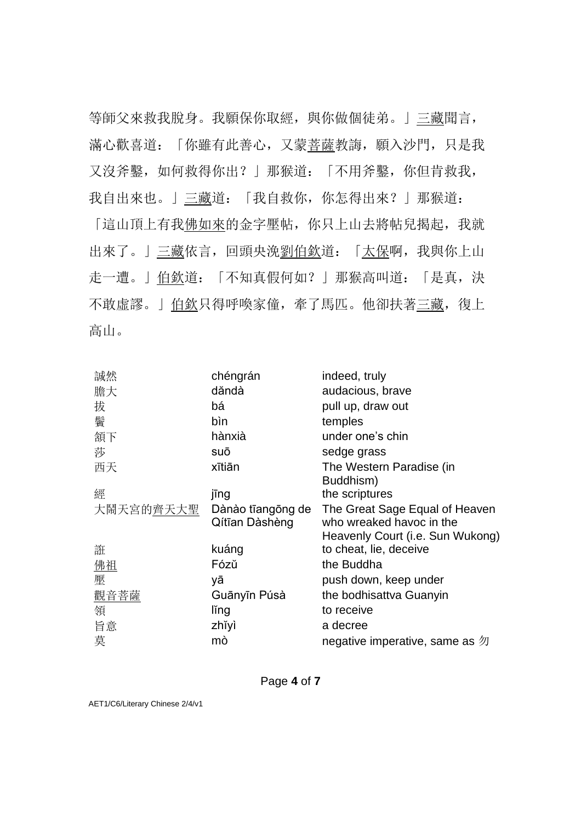等師父來救我脫身。我願保你取經,與你做個徒弟。」三藏聞言, 滿心歡喜道:「你雖有此善心,又蒙菩薩教誨,願入沙門,只是我 又沒斧鑿,如何救得你出?」那猴道:「不用斧鑿,你但肯救我, 我自出來也。」三藏道:「我自救你,你怎得出來?」那猴道:

「這山頂上有我佛如來的金字壓帖,你只上山去將帖兒揭起,我就 出來了。」三藏依言,回頭央浼劉伯欽道:「太保啊,我與你上山 走一遭。」伯欽道:「不知真假何如?」那猴高叫道:「是真,決 不敢虛謬。」伯欽只得呼喚家僮,牽了馬匹。他卻扶著三藏, 復上 高山。

| 誠然        | chéngrán                            | indeed, truly                                                                                  |
|-----------|-------------------------------------|------------------------------------------------------------------------------------------------|
| 膽大        | dăndà                               | audacious, brave                                                                               |
| 拔         | bá                                  | pull up, draw out                                                                              |
| 鬢         | bìn                                 | temples                                                                                        |
| 頷下        | hànxià                              | under one's chin                                                                               |
| 莎         | suō                                 | sedge grass                                                                                    |
| 西天        | xītiān                              | The Western Paradise (in<br>Buddhism)                                                          |
| 經         | jīng                                | the scriptures                                                                                 |
| 大鬧天宮的齊天大聖 | Dànào tīangōng de<br>Qítīan Dàshèng | The Great Sage Equal of Heaven<br>who wreaked havoc in the<br>Heavenly Court (i.e. Sun Wukong) |
| 誑         | kuáng                               | to cheat, lie, deceive                                                                         |
| 佛祖        | Fózŭ                                | the Buddha                                                                                     |
| 壓         | yā                                  | push down, keep under                                                                          |
| 觀音菩薩      | Guānyīn Púsà                        | the bodhisattva Guanyin                                                                        |
| 領         | ling                                | to receive                                                                                     |
| 旨意        | zhĭyì                               | a decree                                                                                       |
| 莫         | mò                                  | negative imperative, same as $\mathfrak W$                                                     |

Page **4** of **7**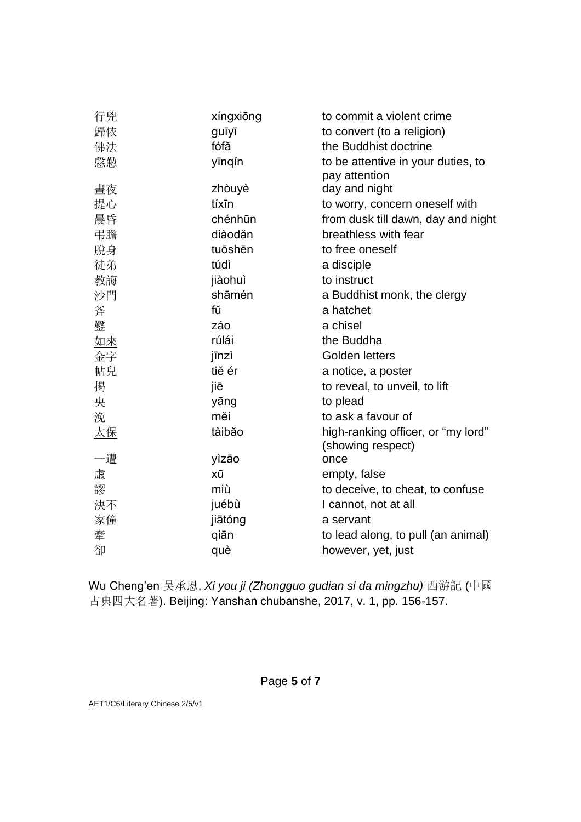| 行兇        | xíngxiong | to commit a violent crime                               |
|-----------|-----------|---------------------------------------------------------|
| 歸依        | guīyī     | to convert (to a religion)                              |
| 佛法        | fófă      | the Buddhist doctrine                                   |
| 慇懃        | yīnqín    | to be attentive in your duties, to                      |
|           |           | pay attention                                           |
| 晝夜        | zhòuyè    | day and night                                           |
| 提心        | tíxīn     | to worry, concern oneself with                          |
| 晨昏        | chénhūn   | from dusk till dawn, day and night                      |
| 弔膽        | diàodăn   | breathless with fear                                    |
| 脫身        | tuōshēn   | to free oneself                                         |
| 徒弟        | túdì      | a disciple                                              |
| 教誨        | jiàohuì   | to instruct                                             |
| 沙門        | shāmén    | a Buddhist monk, the clergy                             |
| 斧         | fŭ        | a hatchet                                               |
| 鑿         | záo       | a chisel                                                |
| <u>如來</u> | rúlái     | the Buddha                                              |
| 金字        | jīnzì     | Golden letters                                          |
| 帖兒        | tiě ér    | a notice, a poster                                      |
| 揭         | jiē       | to reveal, to unveil, to lift                           |
| 央         | yāng      | to plead                                                |
| 浼         | měi       | to ask a favour of                                      |
| <u>太保</u> | tàibăo    | high-ranking officer, or "my lord"<br>(showing respect) |
| 一遭        | yìzāo     | once                                                    |
| 虛         | xū        | empty, false                                            |
| 謬         | miù       | to deceive, to cheat, to confuse                        |
| 決不        | juébù     | I cannot, not at all                                    |
| 家僮        | jiātóng   | a servant                                               |
| 牽         | qiān      | to lead along, to pull (an animal)                      |
| 卻         | què       | however, yet, just                                      |

Wu Cheng'en 吴承恩, *Xi you ji (Zhongguo gudian si da mingzhu)* 西游記 (中國 古典四大名著). Beijing: Yanshan chubanshe, 2017, v. 1, pp. 156-157.

Page **5** of **7**

AET1/C6/Literary Chinese 2/5/v1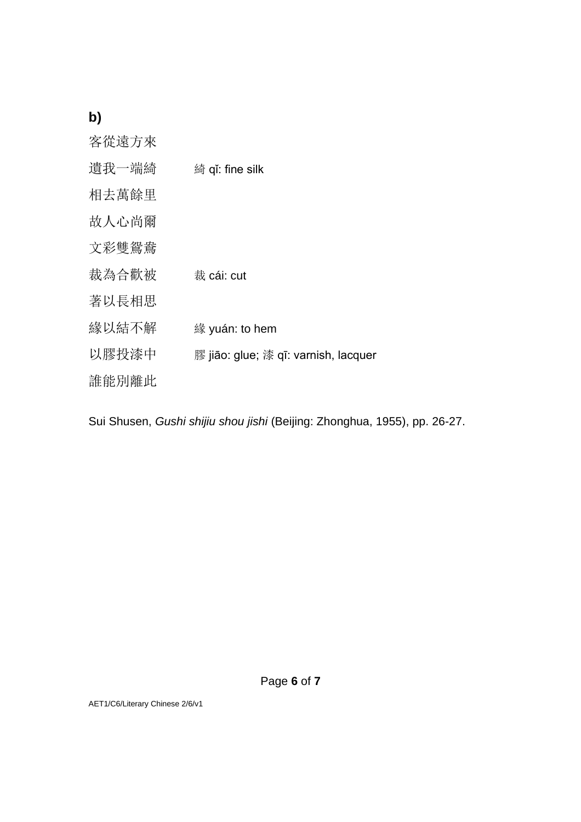# **b)**

| 客從遠方來 |                                      |
|-------|--------------------------------------|
| 遺我一端綺 | 綺 qǐ: fine silk                      |
| 相去萬餘里 |                                      |
| 故人心尚爾 |                                      |
| 文彩雙鴛鴦 |                                      |
| 裁為合歡被 | 裁 cái: cut                           |
| 著以長相思 |                                      |
| 緣以結不解 | 緣 yuán: to hem                       |
| 以膠投漆中 | 膠 jiāo: glue; 漆 qī: varnish, lacquer |
| 誰能別離此 |                                      |

Sui Shusen, *Gushi shijiu shou jishi* (Beijing: Zhonghua, 1955), pp. 26-27.